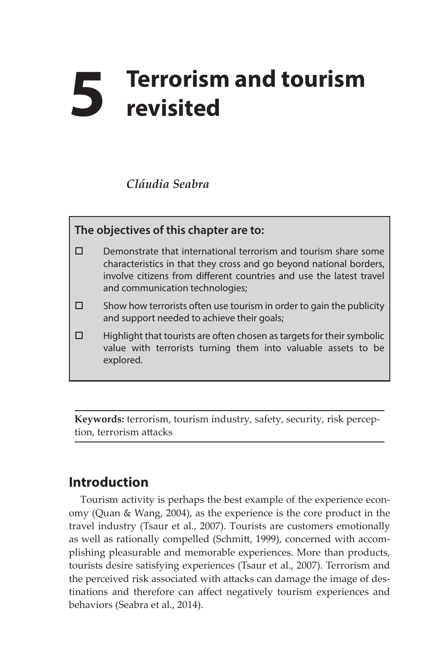# **5 Terrorism and tourism revisited**

#### *Cláudia Seabra*

## **The objectives of this chapter are to:**  $\square$  Demonstrate that international terrorism and tourism share some characteristics in that they cross and go beyond national borders, involve citizens from different countries and use the latest travel and communication technologies;  $\square$  Show how terrorists often use tourism in order to gain the publicity and support needed to achieve their goals;  $\Box$  Highlight that tourists are often chosen as targets for their symbolic value with terrorists turning them into valuable assets to be explored.

**Keywords:** terrorism, tourism industry, safety, security, risk perception, terrorism attacks

### **Introduction**

Tourism activity is perhaps the best example of the experience economy (Quan & Wang, 2004), as the experience is the core product in the travel industry (Tsaur et al., 2007). Tourists are customers emotionally as well as rationally compelled (Schmitt, 1999), concerned with accomplishing pleasurable and memorable experiences. More than products, tourists desire satisfying experiences (Tsaur et al., 2007). Terrorism and the perceived risk associated with attacks can damage the image of destinations and therefore can affect negatively tourism experiences and behaviors (Seabra et al., 2014).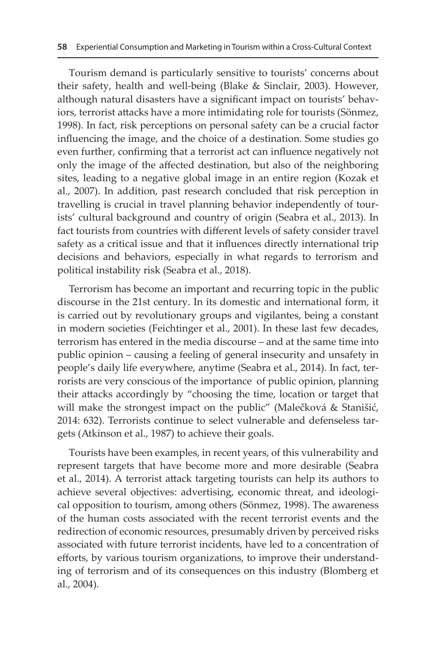Tourism demand is particularly sensitive to tourists' concerns about their safety, health and well-being (Blake & Sinclair, 2003). However, although natural disasters have a significant impact on tourists' behaviors, terrorist attacks have a more intimidating role for tourists (Sönmez, 1998). In fact, risk perceptions on personal safety can be a crucial factor influencing the image, and the choice of a destination. Some studies go even further, confirming that a terrorist act can influence negatively not only the image of the affected destination, but also of the neighboring sites, leading to a negative global image in an entire region (Kozak et al., 2007). In addition, past research concluded that risk perception in travelling is crucial in travel planning behavior independently of tourists' cultural background and country of origin (Seabra et al., 2013). In fact tourists from countries with different levels of safety consider travel safety as a critical issue and that it influences directly international trip decisions and behaviors, especially in what regards to terrorism and political instability risk (Seabra et al., 2018).

Terrorism has become an important and recurring topic in the public discourse in the 21st century. In its domestic and international form, it is carried out by revolutionary groups and vigilantes, being a constant in modern societies (Feichtinger et al., 2001). In these last few decades, terrorism has entered in the media discourse – and at the same time into public opinion – causing a feeling of general insecurity and unsafety in people's daily life everywhere, anytime (Seabra et al., 2014). In fact, terrorists are very conscious of the importance of public opinion, planning their attacks accordingly by "choosing the time, location or target that will make the strongest impact on the public" (Malečková & Stanišić, 2014: 632). Terrorists continue to select vulnerable and defenseless targets (Atkinson et al., 1987) to achieve their goals.

Tourists have been examples, in recent years, of this vulnerability and represent targets that have become more and more desirable (Seabra et al., 2014). A terrorist attack targeting tourists can help its authors to achieve several objectives: advertising, economic threat, and ideological opposition to tourism, among others (Sönmez, 1998). The awareness of the human costs associated with the recent terrorist events and the redirection of economic resources, presumably driven by perceived risks associated with future terrorist incidents, have led to a concentration of efforts, by various tourism organizations, to improve their understanding of terrorism and of its consequences on this industry (Blomberg et al., 2004).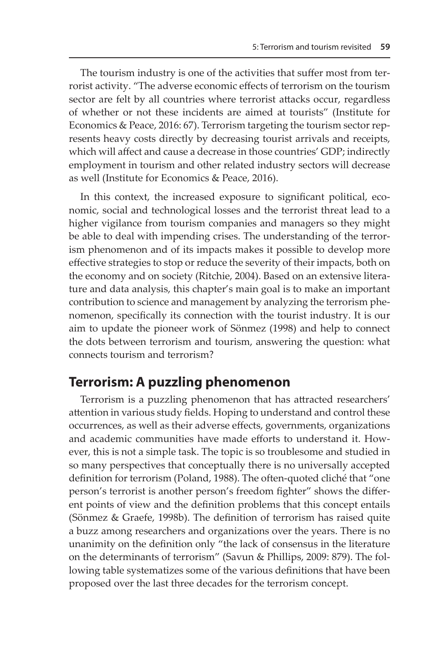The tourism industry is one of the activities that suffer most from terrorist activity. "The adverse economic effects of terrorism on the tourism sector are felt by all countries where terrorist attacks occur, regardless of whether or not these incidents are aimed at tourists" (Institute for Economics & Peace, 2016: 67). Terrorism targeting the tourism sector represents heavy costs directly by decreasing tourist arrivals and receipts, which will affect and cause a decrease in those countries' GDP; indirectly employment in tourism and other related industry sectors will decrease as well (Institute for Economics & Peace, 2016).

In this context, the increased exposure to significant political, economic, social and technological losses and the terrorist threat lead to a higher vigilance from tourism companies and managers so they might be able to deal with impending crises. The understanding of the terrorism phenomenon and of its impacts makes it possible to develop more effective strategies to stop or reduce the severity of their impacts, both on the economy and on society (Ritchie, 2004). Based on an extensive literature and data analysis, this chapter's main goal is to make an important contribution to science and management by analyzing the terrorism phenomenon, specifically its connection with the tourist industry. It is our aim to update the pioneer work of Sönmez (1998) and help to connect the dots between terrorism and tourism, answering the question: what connects tourism and terrorism?

#### **Terrorism: A puzzling phenomenon**

Terrorism is a puzzling phenomenon that has attracted researchers' attention in various study fields. Hoping to understand and control these occurrences, as well as their adverse effects, governments, organizations and academic communities have made efforts to understand it. However, this is not a simple task. The topic is so troublesome and studied in so many perspectives that conceptually there is no universally accepted definition for terrorism (Poland, 1988). The often-quoted cliché that "one person's terrorist is another person's freedom fighter" shows the different points of view and the definition problems that this concept entails (Sönmez & Graefe, 1998b). The definition of terrorism has raised quite a buzz among researchers and organizations over the years. There is no unanimity on the definition only "the lack of consensus in the literature on the determinants of terrorism" (Savun & Phillips, 2009: 879). The following table systematizes some of the various definitions that have been proposed over the last three decades for the terrorism concept.